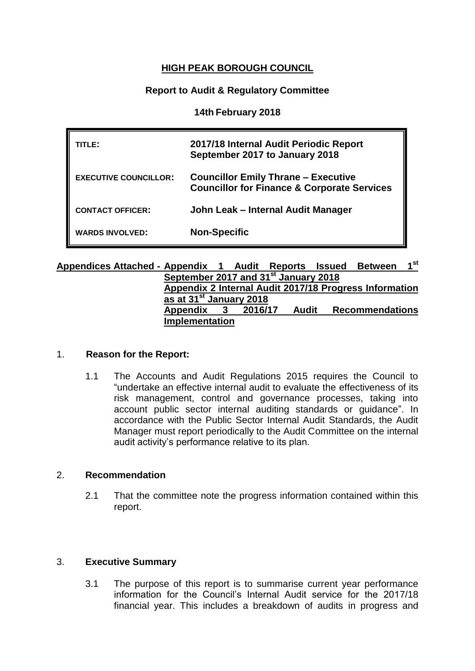## **HIGH PEAK BOROUGH COUNCIL**

#### **Report to Audit & Regulatory Committee**

#### **14th February 2018**

| TITL F:                      | 2017/18 Internal Audit Periodic Report<br>September 2017 to January 2018                             |
|------------------------------|------------------------------------------------------------------------------------------------------|
| <b>EXECUTIVE COUNCILLOR:</b> | <b>Councillor Emily Thrane - Executive</b><br><b>Councillor for Finance &amp; Corporate Services</b> |
| <b>CONTACT OFFICER:</b>      | John Leak - Internal Audit Manager                                                                   |
| <b>WARDS INVOLVED:</b>       | <b>Non-Specific</b>                                                                                  |

#### **Appendices Attached - Appendix 1 Audit Reports Issued Between 1 st September 2017 and 31 st January 2018 Appendix 2 Internal Audit 2017/18 Progress Information as at 31 st January 2018 Appendix 3 2016/17 Audit Recommendations Implementation**

#### 1. **Reason for the Report:**

1.1 The Accounts and Audit Regulations 2015 requires the Council to "undertake an effective internal audit to evaluate the effectiveness of its risk management, control and governance processes, taking into account public sector internal auditing standards or guidance". In accordance with the Public Sector Internal Audit Standards, the Audit Manager must report periodically to the Audit Committee on the internal audit activity's performance relative to its plan.

#### 2. **Recommendation**

2.1 That the committee note the progress information contained within this report.

#### 3. **Executive Summary**

3.1 The purpose of this report is to summarise current year performance information for the Council's Internal Audit service for the 2017/18 financial year. This includes a breakdown of audits in progress and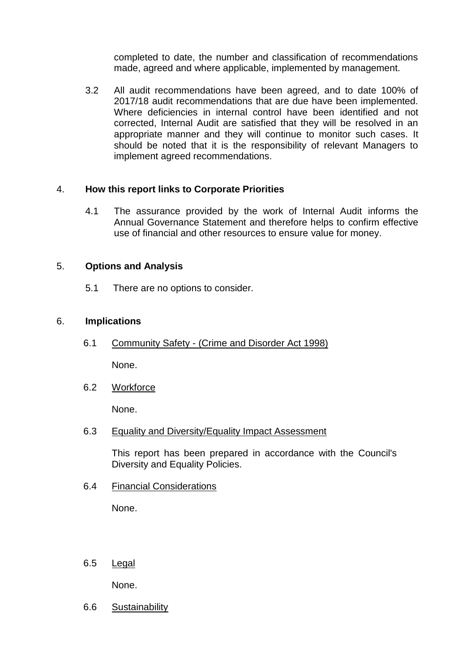completed to date, the number and classification of recommendations made, agreed and where applicable, implemented by management.

3.2 All audit recommendations have been agreed, and to date 100% of 2017/18 audit recommendations that are due have been implemented. Where deficiencies in internal control have been identified and not corrected, Internal Audit are satisfied that they will be resolved in an appropriate manner and they will continue to monitor such cases. It should be noted that it is the responsibility of relevant Managers to implement agreed recommendations.

#### 4. **How this report links to Corporate Priorities**

4.1 The assurance provided by the work of Internal Audit informs the Annual Governance Statement and therefore helps to confirm effective use of financial and other resources to ensure value for money.

#### 5. **Options and Analysis**

5.1 There are no options to consider.

#### 6. **Implications**

6.1 Community Safety - (Crime and Disorder Act 1998)

None.

6.2 Workforce

None.

#### 6.3 Equality and Diversity/Equality Impact Assessment

This report has been prepared in accordance with the Council's Diversity and Equality Policies.

6.4 Financial Considerations

None.

6.5 Legal

None.

6.6 Sustainability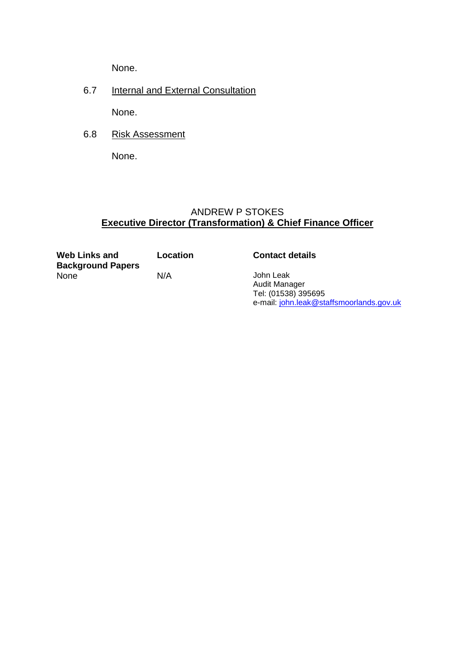None.

6.7 Internal and External Consultation

None.

6.8 Risk Assessment

None.

# ANDREW P STOKES **Executive Director (Transformation) & Chief Finance Officer**

**Web Links and Background Papers**

**Location Contact details**

N/A John Leak Audit Manager Tel: (01538) 395695 e-mail: [john.leak@staffsmoorlands.gov.uk](mailto:john.leak@staffsmoorlands.gov.uk)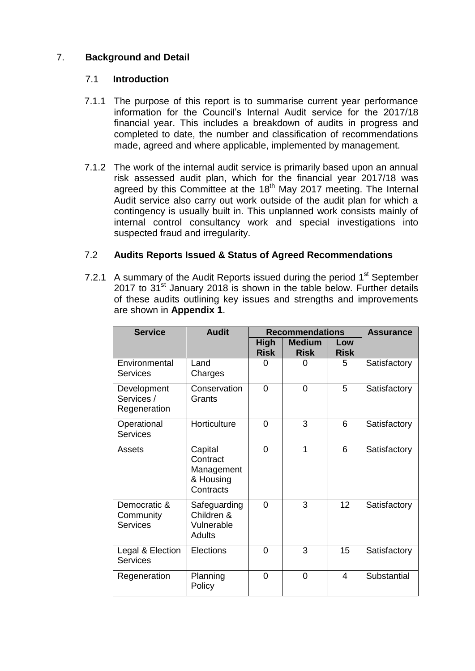# 7. **Background and Detail**

### 7.1 **Introduction**

- 7.1.1 The purpose of this report is to summarise current year performance information for the Council's Internal Audit service for the 2017/18 financial year. This includes a breakdown of audits in progress and completed to date, the number and classification of recommendations made, agreed and where applicable, implemented by management.
- 7.1.2 The work of the internal audit service is primarily based upon an annual risk assessed audit plan, which for the financial year 2017/18 was agreed by this Committee at the  $18<sup>th</sup>$  May 2017 meeting. The Internal Audit service also carry out work outside of the audit plan for which a contingency is usually built in. This unplanned work consists mainly of internal control consultancy work and special investigations into suspected fraud and irregularity.

## 7.2 **Audits Reports Issued & Status of Agreed Recommendations**

7.2.1 A summary of the Audit Reports issued during the period 1<sup>st</sup> September 2017 to  $31^{st}$  January 2018 is shown in the table below. Further details of these audits outlining key issues and strengths and improvements are shown in **Appendix 1**.

| <b>Service</b>                               | <b>Audit</b>                                                | <b>Recommendations</b>     |                              |                    | <b>Assurance</b> |
|----------------------------------------------|-------------------------------------------------------------|----------------------------|------------------------------|--------------------|------------------|
|                                              |                                                             | <b>High</b><br><b>Risk</b> | <b>Medium</b><br><b>Risk</b> | Low<br><b>Risk</b> |                  |
| Environmental<br><b>Services</b>             | Land<br>Charges                                             | 0                          | O                            | 5                  | Satisfactory     |
| Development<br>Services /<br>Regeneration    | Conservation<br>Grants                                      | 0                          | $\overline{0}$               | 5                  | Satisfactory     |
| Operational<br><b>Services</b>               | Horticulture                                                | 0                          | 3                            | 6                  | Satisfactory     |
| Assets                                       | Capital<br>Contract<br>Management<br>& Housing<br>Contracts | 0                          | 1                            | 6                  | Satisfactory     |
| Democratic &<br>Community<br><b>Services</b> | Safeguarding<br>Children &<br>Vulnerable<br>Adults          | $\Omega$                   | 3                            | 12                 | Satisfactory     |
| Legal & Election<br><b>Services</b>          | Elections                                                   | 0                          | 3                            | 15                 | Satisfactory     |
| Regeneration                                 | Planning<br>Policy                                          | 0                          | $\Omega$                     | 4                  | Substantial      |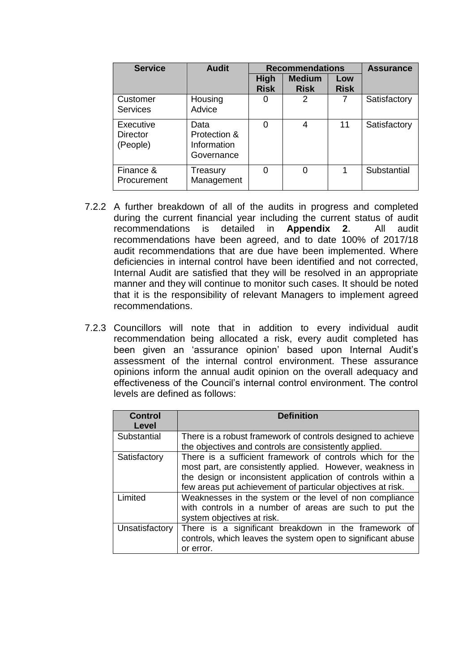| <b>Service</b>                           | <b>Audit</b>                                      | <b>Recommendations</b>     |                              |                    | <b>Assurance</b> |
|------------------------------------------|---------------------------------------------------|----------------------------|------------------------------|--------------------|------------------|
|                                          |                                                   | <b>High</b><br><b>Risk</b> | <b>Medium</b><br><b>Risk</b> | Low<br><b>Risk</b> |                  |
| Customer<br><b>Services</b>              | Housing<br>Advice                                 | Ω                          | 2                            |                    | Satisfactory     |
| Executive<br><b>Director</b><br>(People) | Data<br>Protection &<br>Information<br>Governance | O                          | 4                            | 11                 | Satisfactory     |
| Finance &<br>Procurement                 | Treasury<br>Management                            | 0                          |                              |                    | Substantial      |

- 7.2.2 A further breakdown of all of the audits in progress and completed during the current financial year including the current status of audit recommendations is detailed in **Appendix 2**. All audit recommendations have been agreed, and to date 100% of 2017/18 audit recommendations that are due have been implemented. Where deficiencies in internal control have been identified and not corrected, Internal Audit are satisfied that they will be resolved in an appropriate manner and they will continue to monitor such cases. It should be noted that it is the responsibility of relevant Managers to implement agreed recommendations.
- 7.2.3 Councillors will note that in addition to every individual audit recommendation being allocated a risk, every audit completed has been given an 'assurance opinion' based upon Internal Audit's assessment of the internal control environment. These assurance opinions inform the annual audit opinion on the overall adequacy and effectiveness of the Council's internal control environment. The control levels are defined as follows:

| <b>Control</b><br>Level | <b>Definition</b>                                                                                                                                                                                                                                    |
|-------------------------|------------------------------------------------------------------------------------------------------------------------------------------------------------------------------------------------------------------------------------------------------|
| Substantial             | There is a robust framework of controls designed to achieve<br>the objectives and controls are consistently applied.                                                                                                                                 |
| Satisfactory            | There is a sufficient framework of controls which for the<br>most part, are consistently applied. However, weakness in<br>the design or inconsistent application of controls within a<br>few areas put achievement of particular objectives at risk. |
| Limited                 | Weaknesses in the system or the level of non compliance<br>with controls in a number of areas are such to put the<br>system objectives at risk.                                                                                                      |
| Unsatisfactory          | There is a significant breakdown in the framework of<br>controls, which leaves the system open to significant abuse<br>or error.                                                                                                                     |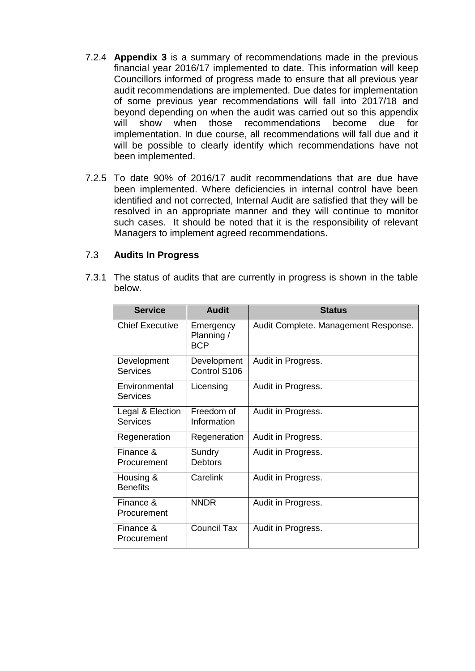- 7.2.4 **Appendix 3** is a summary of recommendations made in the previous financial year 2016/17 implemented to date. This information will keep Councillors informed of progress made to ensure that all previous year audit recommendations are implemented. Due dates for implementation of some previous year recommendations will fall into 2017/18 and beyond depending on when the audit was carried out so this appendix will show when those recommendations become due for implementation. In due course, all recommendations will fall due and it will be possible to clearly identify which recommendations have not been implemented.
- 7.2.5 To date 90% of 2016/17 audit recommendations that are due have been implemented. Where deficiencies in internal control have been identified and not corrected, Internal Audit are satisfied that they will be resolved in an appropriate manner and they will continue to monitor such cases. It should be noted that it is the responsibility of relevant Managers to implement agreed recommendations.

#### 7.3 **Audits In Progress**

7.3.1 The status of audits that are currently in progress is shown in the table below.

| <b>Service</b>                      | <b>Audit</b>                          | <b>Status</b>                        |
|-------------------------------------|---------------------------------------|--------------------------------------|
| <b>Chief Executive</b>              | Emergency<br>Planning /<br><b>BCP</b> | Audit Complete. Management Response. |
| Development<br>Services             | Development<br>Control S106           | Audit in Progress.                   |
| Environmental<br>Services           | Licensing                             | Audit in Progress.                   |
| Legal & Election<br><b>Services</b> | Freedom of<br>Information             | Audit in Progress.                   |
| Regeneration                        | Regeneration                          | Audit in Progress.                   |
| Finance &<br>Procurement            | Sundry<br><b>Debtors</b>              | Audit in Progress.                   |
| Housing &<br><b>Benefits</b>        | Carelink                              | Audit in Progress.                   |
| Finance &<br>Procurement            | <b>NNDR</b>                           | Audit in Progress.                   |
| Finance &<br>Procurement            | <b>Council Tax</b>                    | Audit in Progress.                   |